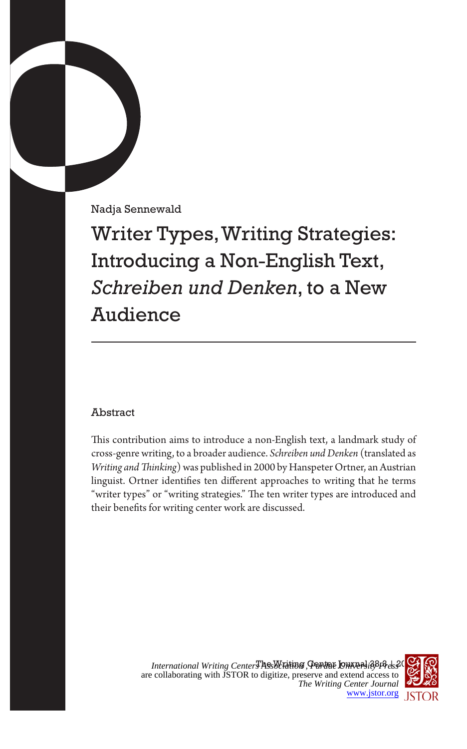Nadja Sennewald

Writer Types, Writing Strategies: Introducing a Non-English Text, *Schreiben und Denken*, to a New Audience

# Abstract

This contribution aims to introduce a non-English text, a landmark study of cross-genre writing, to a broader audience. *Schreiben und Denken* (translated as *Writing and Thinking*) was published in 2000 by Hanspeter Ortner, an Austrian linguist. Ortner identifies ten different approaches to writing that he terms "writer types" or "writing strategies." The ten writer types are introduced and their benefits for writing center work are discussed.

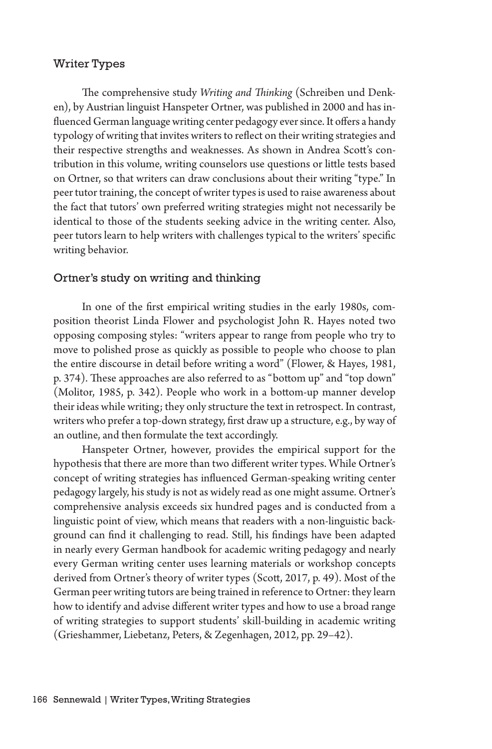#### Writer Types

The comprehensive study *Writing and Thinking* (Schreiben und Denken), by Austrian linguist Hanspeter Ortner, was published in 2000 and has influenced German language writing center pedagogy ever since. It offers a handy typology of writing that invites writers to reflect on their writing strategies and their respective strengths and weaknesses. As shown in Andrea Scott's contribution in this volume, writing counselors use questions or little tests based on Ortner, so that writers can draw conclusions about their writing "type." In peer tutor training, the concept of writer types is used to raise awareness about the fact that tutors' own preferred writing strategies might not necessarily be identical to those of the students seeking advice in the writing center. Also, peer tutors learn to help writers with challenges typical to the writers' specific writing behavior.

#### Ortner's study on writing and thinking

In one of the first empirical writing studies in the early 1980s, composition theorist Linda Flower and psychologist John R. Hayes noted two opposing composing styles: "writers appear to range from people who try to move to polished prose as quickly as possible to people who choose to plan the entire discourse in detail before writing a word" (Flower, & Hayes, 1981, p. 374). These approaches are also referred to as "bottom up" and "top down" (Molitor, 1985, p. 342). People who work in a bottom-up manner develop their ideas while writing; they only structure the text in retrospect. In contrast, writers who prefer a top-down strategy, first draw up a structure, e.g., by way of an outline, and then formulate the text accordingly.

Hanspeter Ortner, however, provides the empirical support for the hypothesis that there are more than two different writer types. While Ortner's concept of writing strategies has influenced German-speaking writing center pedagogy largely, his study is not as widely read as one might assume. Ortner's comprehensive analysis exceeds six hundred pages and is conducted from a linguistic point of view, which means that readers with a non-linguistic background can find it challenging to read. Still, his findings have been adapted in nearly every German handbook for academic writing pedagogy and nearly every German writing center uses learning materials or workshop concepts derived from Ortner's theory of writer types (Scott, 2017, p. 49). Most of the German peer writing tutors are being trained in reference to Ortner: they learn how to identify and advise different writer types and how to use a broad range of writing strategies to support students' skill-building in academic writing (Grieshammer, Liebetanz, Peters, & Zegenhagen, 2012, pp. 29–42).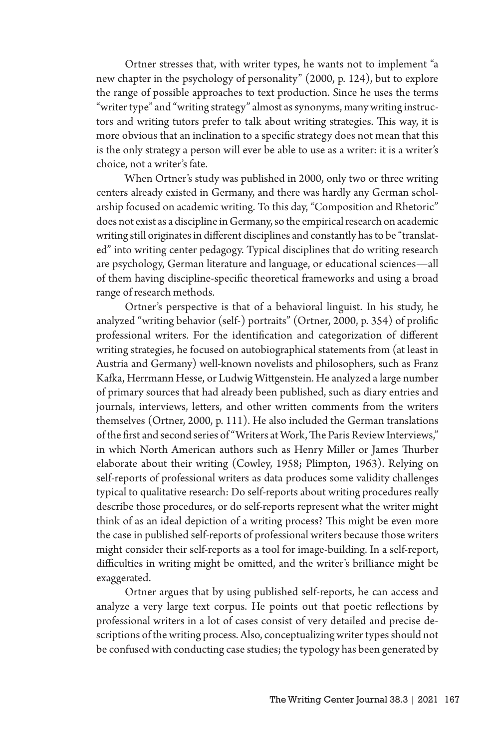Ortner stresses that, with writer types, he wants not to implement "a new chapter in the psychology of personality" (2000, p. 124), but to explore the range of possible approaches to text production. Since he uses the terms "writer type" and "writing strategy" almost as synonyms, many writing instructors and writing tutors prefer to talk about writing strategies. This way, it is more obvious that an inclination to a specific strategy does not mean that this is the only strategy a person will ever be able to use as a writer: it is a writer's choice, not a writer's fate.

When Ortner's study was published in 2000, only two or three writing centers already existed in Germany, and there was hardly any German scholarship focused on academic writing. To this day, "Composition and Rhetoric" does not exist as a discipline in Germany, so the empirical research on academic writing still originates in different disciplines and constantly has to be "translated" into writing center pedagogy. Typical disciplines that do writing research are psychology, German literature and language, or educational sciences—all of them having discipline-specific theoretical frameworks and using a broad range of research methods.

Ortner's perspective is that of a behavioral linguist. In his study, he analyzed "writing behavior (self-) portraits" (Ortner, 2000, p. 354) of prolific professional writers. For the identification and categorization of different writing strategies, he focused on autobiographical statements from (at least in Austria and Germany) well-known novelists and philosophers, such as Franz Kafka, Herrmann Hesse, or Ludwig Wittgenstein. He analyzed a large number of primary sources that had already been published, such as diary entries and journals, interviews, letters, and other written comments from the writers themselves (Ortner, 2000, p. 111). He also included the German translations of the first and second series of "Writers at Work, The Paris Review Interviews," in which North American authors such as Henry Miller or James Thurber elaborate about their writing (Cowley, 1958; Plimpton, 1963). Relying on self-reports of professional writers as data produces some validity challenges typical to qualitative research: Do self-reports about writing procedures really describe those procedures, or do self-reports represent what the writer might think of as an ideal depiction of a writing process? This might be even more the case in published self-reports of professional writers because those writers might consider their self-reports as a tool for image-building. In a self-report, difficulties in writing might be omitted, and the writer's brilliance might be exaggerated.

Ortner argues that by using published self-reports, he can access and analyze a very large text corpus. He points out that poetic reflections by professional writers in a lot of cases consist of very detailed and precise descriptions of the writing process. Also, conceptualizing writer types should not be confused with conducting case studies; the typology has been generated by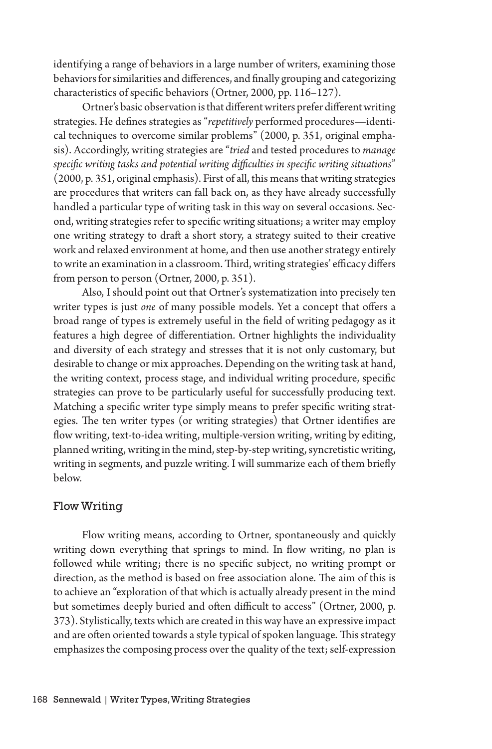identifying a range of behaviors in a large number of writers, examining those behaviors for similarities and differences, and finally grouping and categorizing characteristics of specific behaviors (Ortner, 2000, pp. 116–127).

Ortner's basic observation is that different writers prefer different writing strategies. He defines strategies as "*repetitively* performed procedures—identical techniques to overcome similar problems" (2000, p. 351, original emphasis). Accordingly, writing strategies are "*tried* and tested procedures to *manage specific writing tasks and potential writing difficulties in specific writing situations*" (2000, p. 351, original emphasis). First of all, this means that writing strategies are procedures that writers can fall back on, as they have already successfully handled a particular type of writing task in this way on several occasions. Second, writing strategies refer to specific writing situations; a writer may employ one writing strategy to draft a short story, a strategy suited to their creative work and relaxed environment at home, and then use another strategy entirely to write an examination in a classroom. Third, writing strategies' efficacy differs from person to person (Ortner, 2000, p. 351).

Also, I should point out that Ortner's systematization into precisely ten writer types is just *one* of many possible models. Yet a concept that offers a broad range of types is extremely useful in the field of writing pedagogy as it features a high degree of differentiation. Ortner highlights the individuality and diversity of each strategy and stresses that it is not only customary, but desirable to change or mix approaches. Depending on the writing task at hand, the writing context, process stage, and individual writing procedure, specific strategies can prove to be particularly useful for successfully producing text. Matching a specific writer type simply means to prefer specific writing strategies. The ten writer types (or writing strategies) that Ortner identifies are flow writing, text-to-idea writing, multiple-version writing, writing by editing, planned writing, writing in the mind, step-by-step writing, syncretistic writing, writing in segments, and puzzle writing. I will summarize each of them briefly below.

# Flow Writing

Flow writing means, according to Ortner, spontaneously and quickly writing down everything that springs to mind. In flow writing, no plan is followed while writing; there is no specific subject, no writing prompt or direction, as the method is based on free association alone. The aim of this is to achieve an "exploration of that which is actually already present in the mind but sometimes deeply buried and often difficult to access" (Ortner, 2000, p. 373). Stylistically, texts which are created in this way have an expressive impact and are often oriented towards a style typical of spoken language. This strategy emphasizes the composing process over the quality of the text; self-expression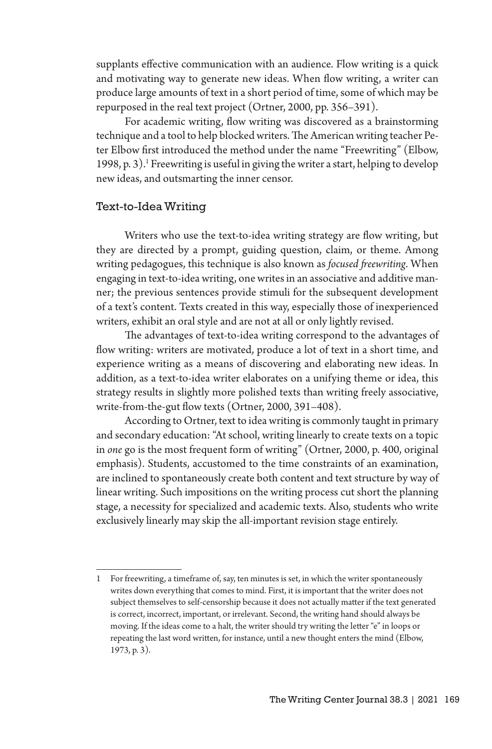supplants effective communication with an audience. Flow writing is a quick and motivating way to generate new ideas. When flow writing, a writer can produce large amounts of text in a short period of time, some of which may be repurposed in the real text project (Ortner, 2000, pp. 356–391).

For academic writing, flow writing was discovered as a brainstorming technique and a tool to help blocked writers. The American writing teacher Peter Elbow first introduced the method under the name "Freewriting" (Elbow, 1998, p. 3).<sup>1</sup> Freewriting is useful in giving the writer a start, helping to develop new ideas, and outsmarting the inner censor.

#### Text-to-Idea Writing

Writers who use the text-to-idea writing strategy are flow writing, but they are directed by a prompt, guiding question, claim, or theme. Among writing pedagogues, this technique is also known as *focused freewriting*. When engaging in text-to-idea writing, one writes in an associative and additive manner; the previous sentences provide stimuli for the subsequent development of a text's content. Texts created in this way, especially those of inexperienced writers, exhibit an oral style and are not at all or only lightly revised.

The advantages of text-to-idea writing correspond to the advantages of flow writing: writers are motivated, produce a lot of text in a short time, and experience writing as a means of discovering and elaborating new ideas. In addition, as a text-to-idea writer elaborates on a unifying theme or idea, this strategy results in slightly more polished texts than writing freely associative, write-from-the-gut flow texts (Ortner, 2000, 391–408).

According to Ortner, text to idea writing is commonly taught in primary and secondary education: "At school, writing linearly to create texts on a topic in *one* go is the most frequent form of writing" (Ortner, 2000, p. 400, original emphasis). Students, accustomed to the time constraints of an examination, are inclined to spontaneously create both content and text structure by way of linear writing. Such impositions on the writing process cut short the planning stage, a necessity for specialized and academic texts. Also, students who write exclusively linearly may skip the all-important revision stage entirely.

<sup>1</sup> For freewriting, a timeframe of, say, ten minutes is set, in which the writer spontaneously writes down everything that comes to mind. First, it is important that the writer does not subject themselves to self-censorship because it does not actually matter if the text generated is correct, incorrect, important, or irrelevant. Second, the writing hand should always be moving. If the ideas come to a halt, the writer should try writing the letter "e" in loops or repeating the last word written, for instance, until a new thought enters the mind (Elbow, 1973, p. 3).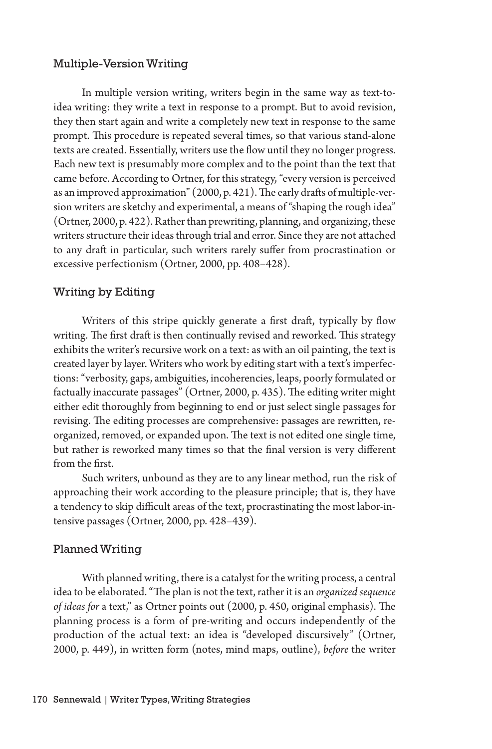# Multiple-Version Writing

In multiple version writing, writers begin in the same way as text-toidea writing: they write a text in response to a prompt. But to avoid revision, they then start again and write a completely new text in response to the same prompt. This procedure is repeated several times, so that various stand-alone texts are created. Essentially, writers use the flow until they no longer progress. Each new text is presumably more complex and to the point than the text that came before. According to Ortner, for this strategy, "every version is perceived as an improved approximation" (2000, p. 421). The early drafts of multiple-version writers are sketchy and experimental, a means of "shaping the rough idea" (Ortner, 2000, p. 422). Rather than prewriting, planning, and organizing, these writers structure their ideas through trial and error. Since they are not attached to any draft in particular, such writers rarely suffer from procrastination or excessive perfectionism (Ortner, 2000, pp. 408–428).

# Writing by Editing

Writers of this stripe quickly generate a first draft, typically by flow writing. The first draft is then continually revised and reworked. This strategy exhibits the writer's recursive work on a text: as with an oil painting, the text is created layer by layer. Writers who work by editing start with a text's imperfections: "verbosity, gaps, ambiguities, incoherencies, leaps, poorly formulated or factually inaccurate passages" (Ortner, 2000, p. 435). The editing writer might either edit thoroughly from beginning to end or just select single passages for revising. The editing processes are comprehensive: passages are rewritten, reorganized, removed, or expanded upon. The text is not edited one single time, but rather is reworked many times so that the final version is very different from the first.

Such writers, unbound as they are to any linear method, run the risk of approaching their work according to the pleasure principle; that is, they have a tendency to skip difficult areas of the text, procrastinating the most labor-intensive passages (Ortner, 2000, pp. 428–439).

#### Planned Writing

With planned writing, there is a catalyst for the writing process, a central idea to be elaborated. "The plan is not the text, rather it is an *organized sequence of ideas for* a text," as Ortner points out (2000, p. 450, original emphasis). The planning process is a form of pre-writing and occurs independently of the production of the actual text: an idea is "developed discursively" (Ortner, 2000, p. 449), in written form (notes, mind maps, outline), *before* the writer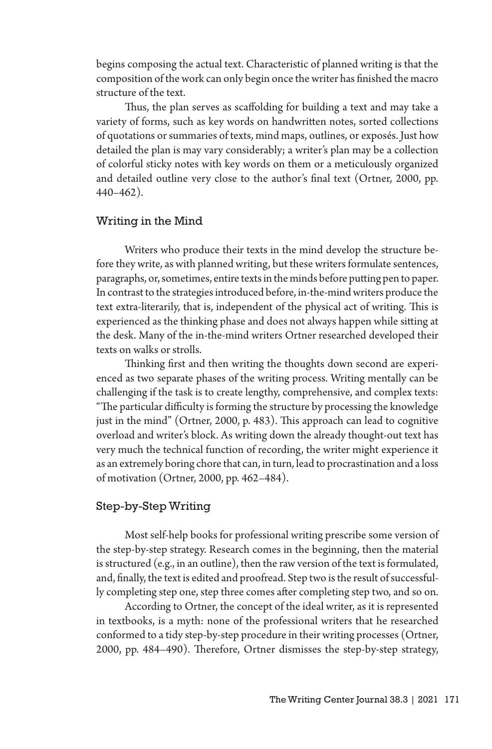begins composing the actual text. Characteristic of planned writing is that the composition of the work can only begin once the writer has finished the macro structure of the text.

Thus, the plan serves as scaffolding for building a text and may take a variety of forms, such as key words on handwritten notes, sorted collections of quotations or summaries of texts, mind maps, outlines, or exposés. Just how detailed the plan is may vary considerably; a writer's plan may be a collection of colorful sticky notes with key words on them or a meticulously organized and detailed outline very close to the author's final text (Ortner, 2000, pp. 440–462).

# Writing in the Mind

Writers who produce their texts in the mind develop the structure before they write, as with planned writing, but these writers formulate sentences, paragraphs, or, sometimes, entire texts in the minds before putting pen to paper. In contrast to the strategies introduced before, in-the-mind writers produce the text extra-literarily, that is, independent of the physical act of writing. This is experienced as the thinking phase and does not always happen while sitting at the desk. Many of the in-the-mind writers Ortner researched developed their texts on walks or strolls.

Thinking first and then writing the thoughts down second are experienced as two separate phases of the writing process. Writing mentally can be challenging if the task is to create lengthy, comprehensive, and complex texts: "The particular difficulty is forming the structure by processing the knowledge just in the mind" (Ortner, 2000, p. 483). This approach can lead to cognitive overload and writer's block. As writing down the already thought-out text has very much the technical function of recording, the writer might experience it as an extremely boring chore that can, in turn, lead to procrastination and a loss of motivation (Ortner, 2000, pp. 462–484).

# Step-by-Step Writing

Most self-help books for professional writing prescribe some version of the step-by-step strategy. Research comes in the beginning, then the material is structured (e.g., in an outline), then the raw version of the text is formulated, and, finally, the text is edited and proofread. Step two is the result of successfully completing step one, step three comes after completing step two, and so on.

According to Ortner, the concept of the ideal writer, as it is represented in textbooks, is a myth: none of the professional writers that he researched conformed to a tidy step-by-step procedure in their writing processes (Ortner, 2000, pp. 484–490). Therefore, Ortner dismisses the step-by-step strategy,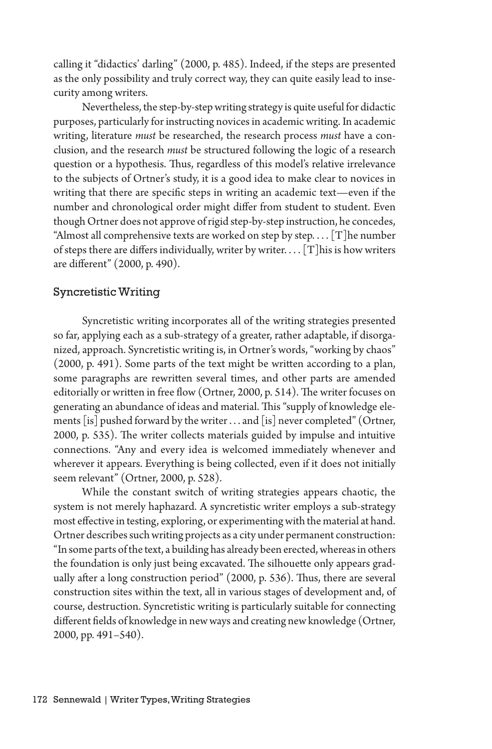calling it "didactics' darling" (2000, p. 485). Indeed, if the steps are presented as the only possibility and truly correct way, they can quite easily lead to insecurity among writers.

Nevertheless, the step-by-step writing strategy is quite useful for didactic purposes, particularly for instructing novices in academic writing. In academic writing, literature *must* be researched, the research process *must* have a conclusion, and the research *must* be structured following the logic of a research question or a hypothesis. Thus, regardless of this model's relative irrelevance to the subjects of Ortner's study, it is a good idea to make clear to novices in writing that there are specific steps in writing an academic text—even if the number and chronological order might differ from student to student. Even though Ortner does not approve of rigid step-by-step instruction, he concedes, "Almost all comprehensive texts are worked on step by step.... [T] he number of steps there are differs individually, writer by writer. . . . [T] his is how writers are different" (2000, p. 490).

#### Syncretistic Writing

Syncretistic writing incorporates all of the writing strategies presented so far, applying each as a sub-strategy of a greater, rather adaptable, if disorganized, approach. Syncretistic writing is, in Ortner's words, "working by chaos" (2000, p. 491). Some parts of the text might be written according to a plan, some paragraphs are rewritten several times, and other parts are amended editorially or written in free flow (Ortner, 2000, p. 514). The writer focuses on generating an abundance of ideas and material. This "supply of knowledge elements [is] pushed forward by the writer . . . and [is] never completed" (Ortner, 2000, p. 535). The writer collects materials guided by impulse and intuitive connections. "Any and every idea is welcomed immediately whenever and wherever it appears. Everything is being collected, even if it does not initially seem relevant" (Ortner, 2000, p. 528).

While the constant switch of writing strategies appears chaotic, the system is not merely haphazard. A syncretistic writer employs a sub-strategy most effective in testing, exploring, or experimenting with the material at hand. Ortner describes such writing projects as a city under permanent construction: "In some parts of the text, a building has already been erected, whereas in others the foundation is only just being excavated. The silhouette only appears gradually after a long construction period" (2000, p. 536). Thus, there are several construction sites within the text, all in various stages of development and, of course, destruction. Syncretistic writing is particularly suitable for connecting different fields of knowledge in new ways and creating new knowledge (Ortner, 2000, pp. 491–540).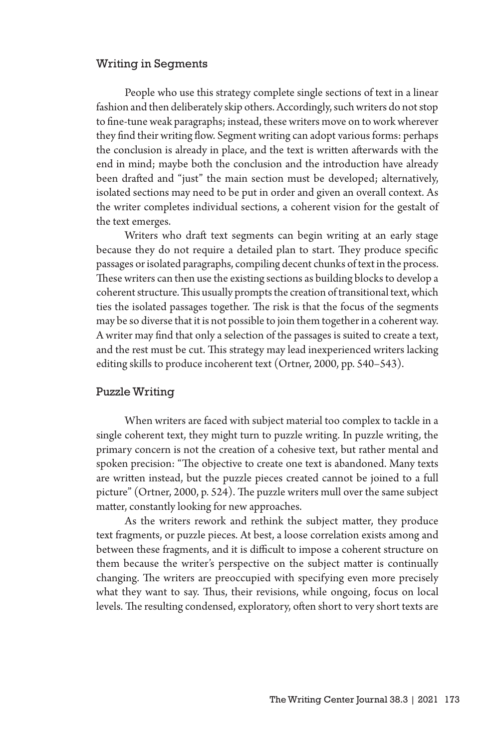#### Writing in Segments

People who use this strategy complete single sections of text in a linear fashion and then deliberately skip others. Accordingly, such writers do not stop to fine-tune weak paragraphs; instead, these writers move on to work wherever they find their writing flow. Segment writing can adopt various forms: perhaps the conclusion is already in place, and the text is written afterwards with the end in mind; maybe both the conclusion and the introduction have already been drafted and "just" the main section must be developed; alternatively, isolated sections may need to be put in order and given an overall context. As the writer completes individual sections, a coherent vision for the gestalt of the text emerges.

Writers who draft text segments can begin writing at an early stage because they do not require a detailed plan to start. They produce specific passages or isolated paragraphs, compiling decent chunks of text in the process. These writers can then use the existing sections as building blocks to develop a coherent structure. This usually prompts the creation of transitional text, which ties the isolated passages together. The risk is that the focus of the segments may be so diverse that it is not possible to join them together in a coherent way. A writer may find that only a selection of the passages is suited to create a text, and the rest must be cut. This strategy may lead inexperienced writers lacking editing skills to produce incoherent text (Ortner, 2000, pp. 540–543).

#### Puzzle Writing

When writers are faced with subject material too complex to tackle in a single coherent text, they might turn to puzzle writing. In puzzle writing, the primary concern is not the creation of a cohesive text, but rather mental and spoken precision: "The objective to create one text is abandoned. Many texts are written instead, but the puzzle pieces created cannot be joined to a full picture" (Ortner, 2000, p. 524). The puzzle writers mull over the same subject matter, constantly looking for new approaches.

As the writers rework and rethink the subject matter, they produce text fragments, or puzzle pieces. At best, a loose correlation exists among and between these fragments, and it is difficult to impose a coherent structure on them because the writer's perspective on the subject matter is continually changing. The writers are preoccupied with specifying even more precisely what they want to say. Thus, their revisions, while ongoing, focus on local levels. The resulting condensed, exploratory, often short to very short texts are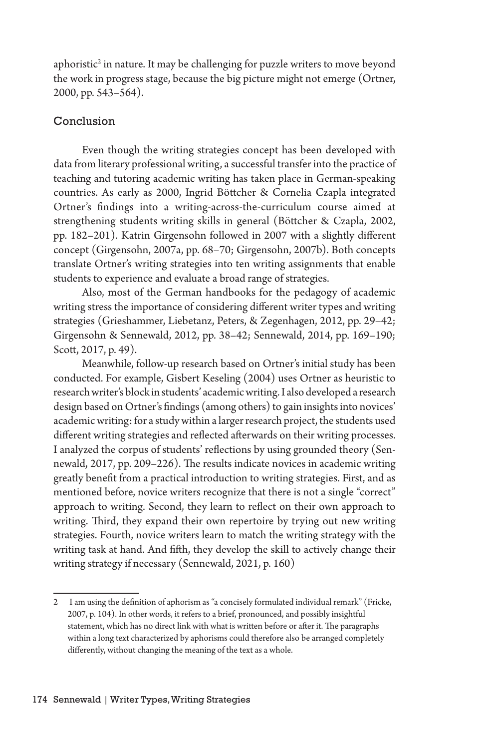aphoristic<sup>2</sup> in nature. It may be challenging for puzzle writers to move beyond the work in progress stage, because the big picture might not emerge (Ortner, 2000, pp. 543–564).

# Conclusion

Even though the writing strategies concept has been developed with data from literary professional writing, a successful transfer into the practice of teaching and tutoring academic writing has taken place in German-speaking countries. As early as 2000, Ingrid Böttcher & Cornelia Czapla integrated Ortner's findings into a writing-across-the-curriculum course aimed at strengthening students writing skills in general (Böttcher & Czapla, 2002, pp. 182–201). Katrin Girgensohn followed in 2007 with a slightly different concept (Girgensohn, 2007a, pp. 68–70; Girgensohn, 2007b). Both concepts translate Ortner's writing strategies into ten writing assignments that enable students to experience and evaluate a broad range of strategies.

Also, most of the German handbooks for the pedagogy of academic writing stress the importance of considering different writer types and writing strategies (Grieshammer, Liebetanz, Peters, & Zegenhagen, 2012, pp. 29–42; Girgensohn & Sennewald, 2012, pp. 38–42; Sennewald, 2014, pp. 169–190; Scott, 2017, p. 49).

Meanwhile, follow-up research based on Ortner's initial study has been conducted. For example, Gisbert Keseling (2004) uses Ortner as heuristic to research writer's block in students' academic writing. I also developed a research design based on Ortner's findings (among others) to gain insights into novices' academic writing: for a study within a larger research project, the students used different writing strategies and reflected afterwards on their writing processes. I analyzed the corpus of students' reflections by using grounded theory (Sennewald, 2017, pp. 209–226). The results indicate novices in academic writing greatly benefit from a practical introduction to writing strategies. First, and as mentioned before, novice writers recognize that there is not a single "correct" approach to writing. Second, they learn to reflect on their own approach to writing. Third, they expand their own repertoire by trying out new writing strategies. Fourth, novice writers learn to match the writing strategy with the writing task at hand. And fifth, they develop the skill to actively change their writing strategy if necessary (Sennewald, 2021, p. 160)

<sup>2</sup> I am using the definition of aphorism as "a concisely formulated individual remark" (Fricke, 2007, p. 104). In other words, it refers to a brief, pronounced, and possibly insightful statement, which has no direct link with what is written before or after it. The paragraphs within a long text characterized by aphorisms could therefore also be arranged completely differently, without changing the meaning of the text as a whole.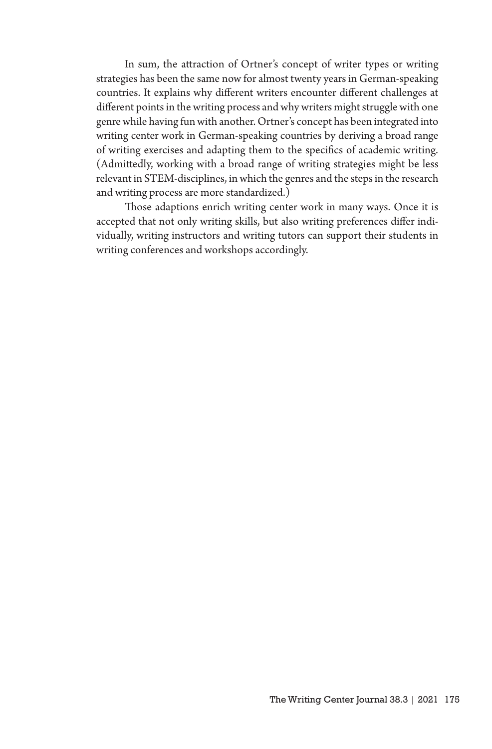In sum, the attraction of Ortner's concept of writer types or writing strategies has been the same now for almost twenty years in German-speaking countries. It explains why different writers encounter different challenges at different points in the writing process and why writers might struggle with one genre while having fun with another. Ortner's concept has been integrated into writing center work in German-speaking countries by deriving a broad range of writing exercises and adapting them to the specifics of academic writing. (Admittedly, working with a broad range of writing strategies might be less relevant in STEM-disciplines, in which the genres and the steps in the research and writing process are more standardized.)

Those adaptions enrich writing center work in many ways. Once it is accepted that not only writing skills, but also writing preferences differ individually, writing instructors and writing tutors can support their students in writing conferences and workshops accordingly.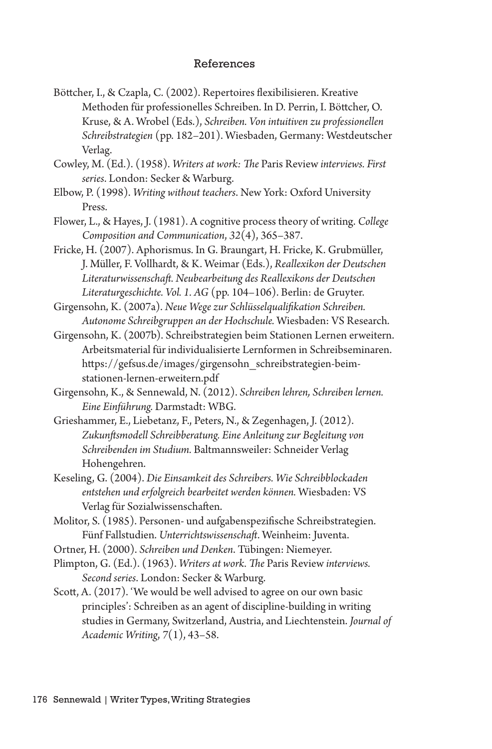#### References

Böttcher, I., & Czapla, C. (2002). Repertoires flexibilisieren. Kreative Methoden für professionelles Schreiben. In D. Perrin, I. Böttcher, O. Kruse, & A. Wrobel (Eds.), *Schreiben. Von intuitiven zu professionellen Schreibstrategien* (pp. 182–201). Wiesbaden, Germany: Westdeutscher Verlag.

Cowley, M. (Ed.). (1958). *Writers at work: The* Paris Review *interviews. First series*. London: Secker & Warburg.

- Elbow, P. (1998). *Writing without teachers*. New York: Oxford University Press.
- Flower, L., & Hayes, J. (1981). A cognitive process theory of writing. *College Composition and Communication*, *32*(4), 365–387.
- Fricke, H. (2007). Aphorismus. In G. Braungart, H. Fricke, K. Grubmüller, J. Müller, F. Vollhardt, & K. Weimar (Eds.), *Reallexikon der Deutschen Literaturwissenschaft. Neubearbeitung des Reallexikons der Deutschen Literaturgeschichte. Vol. 1. AG* (pp. 104–106). Berlin: de Gruyter.

Girgensohn, K. (2007a). *Neue Wege zur Schlüsselqualifikation Schreiben. Autonome Schreibgruppen an der Hochschule.* Wiesbaden: VS Research.

- Girgensohn, K. (2007b). Schreibstrategien beim Stationen Lernen erweitern. Arbeitsmaterial für individualisierte Lernformen in Schreibseminaren. https://gefsus.de/images/girgensohn\_schreibstrategien-beimstationen-lernen-erweitern.pdf
- Girgensohn, K., & Sennewald, N. (2012). *Schreiben lehren, Schreiben lernen. Eine Einführung.* Darmstadt: WBG.
- Grieshammer, E., Liebetanz, F., Peters, N., & Zegenhagen, J. (2012). *Zukunftsmodell Schreibberatung. Eine Anleitung zur Begleitung von Schreibenden im Studium.* Baltmannsweiler: Schneider Verlag Hohengehren.
- Keseling, G. (2004). *Die Einsamkeit des Schreibers. Wie Schreibblockaden entstehen und erfolgreich bearbeitet werden können.* Wiesbaden: VS Verlag für Sozialwissenschaften.
- Molitor, S. (1985). Personen- und aufgabenspezifische Schreibstrategien. Fünf Fallstudien. *Unterrichtswissenschaft*. Weinheim: Juventa.
- Ortner, H. (2000). *Schreiben und Denken*. Tübingen: Niemeyer.
- Plimpton, G. (Ed.). (1963). *Writers at work. The* Paris Review *interviews. Second series*. London: Secker & Warburg.
- Scott, A. (2017). 'We would be well advised to agree on our own basic principles': Schreiben as an agent of discipline-building in writing studies in Germany, Switzerland, Austria, and Liechtenstein. *Journal of Academic Writing*, *7*(1), 43–58.